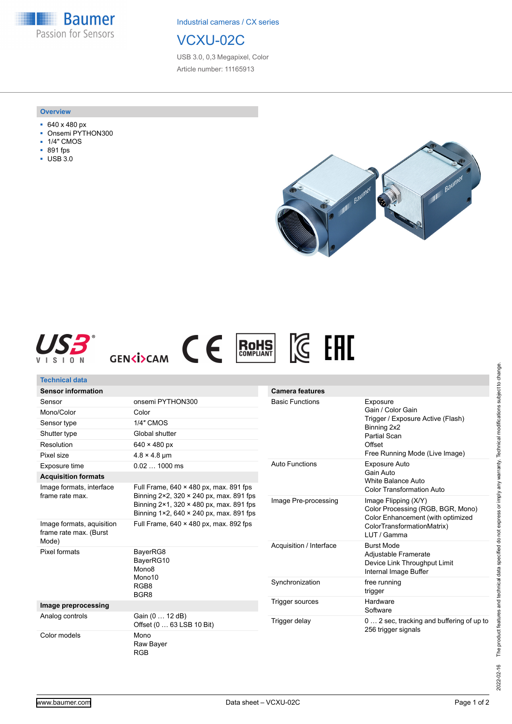**Baumer** Passion for Sensors

Industrial cameras / CX series

## VCXU-02C

USB 3.0, 0,3 Megapixel, Color Article number: 11165913

## **Overview**

- 640 x 480 px
- Onsemi PYTHON300
- 1/4" CMOS
- 891 fps
- USB 3.0





| <b>Technical data</b>                                        |                                                                                                                                                                                                                                   |                         |                                                                                                                                               |
|--------------------------------------------------------------|-----------------------------------------------------------------------------------------------------------------------------------------------------------------------------------------------------------------------------------|-------------------------|-----------------------------------------------------------------------------------------------------------------------------------------------|
| <b>Sensor information</b>                                    |                                                                                                                                                                                                                                   | <b>Camera features</b>  |                                                                                                                                               |
| Sensor                                                       | onsemi PYTHON300                                                                                                                                                                                                                  | <b>Basic Functions</b>  | Exposure<br>Gain / Color Gain<br>Trigger / Exposure Active (Flash)<br>Binning 2x2<br>Partial Scan<br>Offset<br>Free Running Mode (Live Image) |
| Mono/Color                                                   | Color                                                                                                                                                                                                                             |                         |                                                                                                                                               |
| Sensor type                                                  | <b>1/4" CMOS</b>                                                                                                                                                                                                                  |                         |                                                                                                                                               |
| Shutter type                                                 | Global shutter                                                                                                                                                                                                                    |                         |                                                                                                                                               |
| Resolution                                                   | $640 \times 480$ px                                                                                                                                                                                                               |                         |                                                                                                                                               |
| Pixel size                                                   | $4.8 \times 4.8$ µm                                                                                                                                                                                                               |                         |                                                                                                                                               |
| Exposure time                                                | $0.021000$ ms                                                                                                                                                                                                                     | <b>Auto Functions</b>   | Exposure Auto<br>Gain Auto<br><b>White Balance Auto</b>                                                                                       |
| <b>Acquisition formats</b>                                   |                                                                                                                                                                                                                                   |                         |                                                                                                                                               |
| Image formats, interface<br>frame rate max.                  | Full Frame, $640 \times 480$ px, max. 891 fps<br>Binning $2 \times 2$ , 320 $\times$ 240 px, max. 891 fps<br>Binning $2 \times 1$ , 320 $\times$ 480 px, max. 891 fps<br>Binning $1 \times 2$ , 640 $\times$ 240 px, max. 891 fps |                         | <b>Color Transformation Auto</b>                                                                                                              |
|                                                              |                                                                                                                                                                                                                                   | Image Pre-processing    | Image Flipping (X/Y)<br>Color Processing (RGB, BGR, Mono)<br>Color Enhancement (with optimized<br>ColorTransformationMatrix)<br>LUT / Gamma   |
| Image formats, aquisition<br>frame rate max. (Burst<br>Mode) | Full Frame, $640 \times 480$ px, max, 892 fps                                                                                                                                                                                     |                         |                                                                                                                                               |
| Pixel formats                                                | BayerRG8<br>BayerRG10<br>Mono <sub>8</sub><br>Mono10<br>RGB8<br>BGR <sub>8</sub>                                                                                                                                                  | Acquisition / Interface | <b>Burst Mode</b><br>Adjustable Framerate<br>Device Link Throughput Limit<br>Internal Image Buffer                                            |
|                                                              |                                                                                                                                                                                                                                   | Synchronization         | free running<br>trigger                                                                                                                       |
| Image preprocessing                                          |                                                                                                                                                                                                                                   | Trigger sources         | Hardware<br>Software                                                                                                                          |
| Analog controls                                              | Gain (0  12 dB)<br>Offset (0  63 LSB 10 Bit)                                                                                                                                                                                      | Trigger delay           | 0  2 sec, tracking and buffering of up to<br>256 trigger signals                                                                              |
| Color models                                                 | Mono<br>Raw Bayer<br><b>RGB</b>                                                                                                                                                                                                   |                         |                                                                                                                                               |